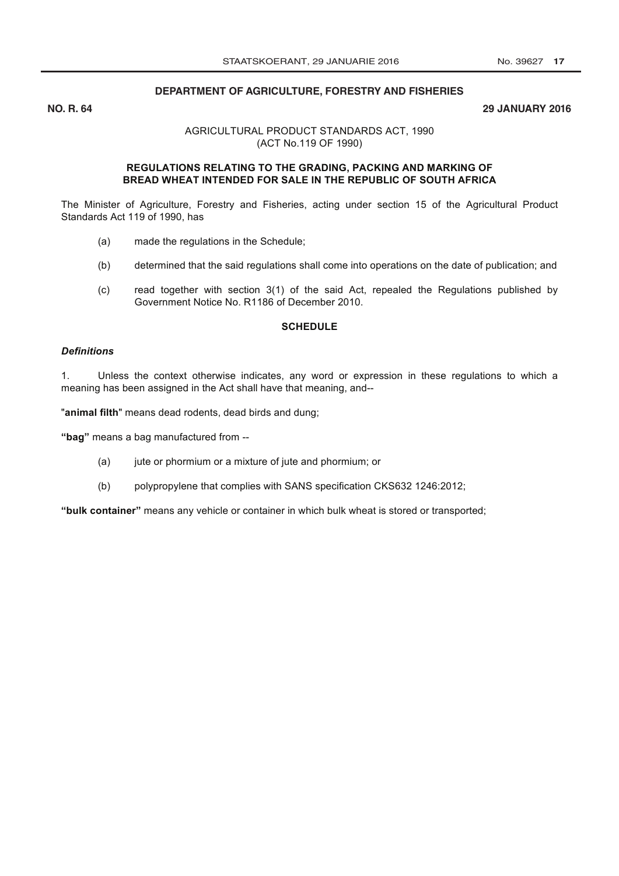## DEPARTMENT OF AGRICULTURE, FORESTRY AND FISHERIES

**NO. R. 64** 

## **29 JANUARY 2016**

AGRICULTURAL PRODUCT STANDARDS ACT, 1990 (ACT No.119 OF 1990)

## REGULATIONS RELATING TO THE GRADING, PACKING AND MARKING OF BREAD WHEAT INTENDED FOR SALE IN THE REPUBLIC OF SOUTH AFRICA

The Minister of Agriculture, Forestry and Fisheries, acting under section 15 of the Agricultural Product Standards Act 119 of 1990, has

- $(a)$ made the regulations in the Schedule;
- determined that the said regulations shall come into operations on the date of publication; and  $(b)$
- read together with section 3(1) of the said Act, repealed the Regulations published by  $(c)$ Government Notice No. R1186 of December 2010.

#### **SCHEDULE**

## **Definitions**

Unless the context otherwise indicates, any word or expression in these regulations to which a  $1<sub>1</sub>$ meaning has been assigned in the Act shall have that meaning, and--

"animal filth" means dead rodents, dead birds and dung;

"bag" means a bag manufactured from --

- $(a)$ jute or phormium or a mixture of jute and phormium; or
- $(b)$ polypropylene that complies with SANS specification CKS632 1246:2012;

"bulk container" means any vehicle or container in which bulk wheat is stored or transported;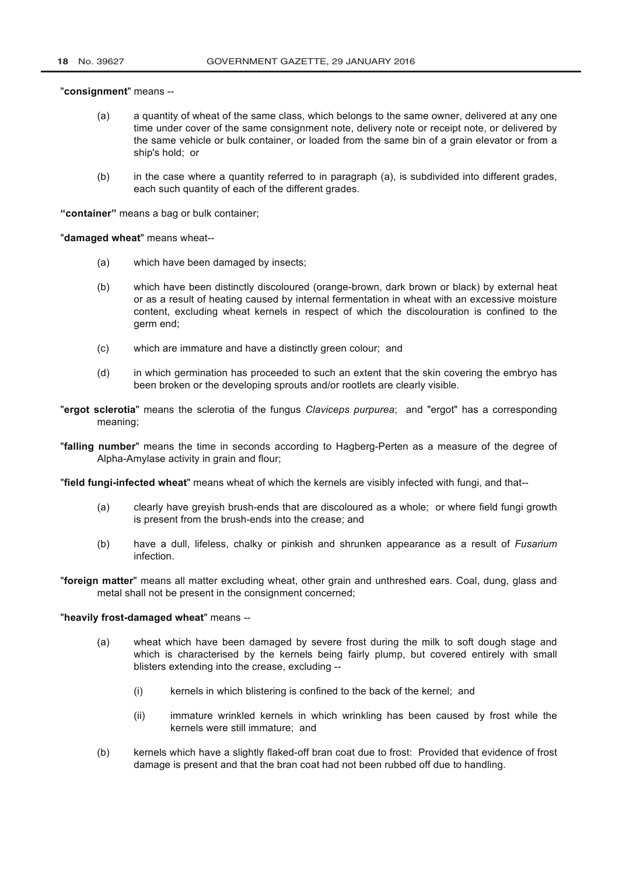"consignment" means --

- $(a)$ a quantity of wheat of the same class, which belongs to the same owner, delivered at any one time under cover of the same consignment note, delivery note or receipt note, or delivered by the same vehicle or bulk container, or loaded from the same bin of a grain elevator or from a ship's hold; or
- $(b)$ in the case where a quantity referred to in paragraph (a), is subdivided into different grades, each such quantity of each of the different grades.

"container" means a bag or bulk container:

"damaged wheat" means wheat--

- $(a)$ which have been damaged by insects;
- which have been distinctly discoloured (orange-brown, dark brown or black) by external heat  $(b)$ or as a result of heating caused by internal fermentation in wheat with an excessive moisture content, excluding wheat kernels in respect of which the discolouration is confined to the germ end;
- $(c)$ which are immature and have a distinctly green colour; and
- in which germination has proceeded to such an extent that the skin covering the embryo has  $(d)$ been broken or the developing sprouts and/or rootlets are clearly visible.
- "ergot sclerotia" means the sclerotia of the fungus Claviceps purpurea; and "ergot" has a corresponding meaning;
- "falling number" means the time in seconds according to Hagberg-Perten as a measure of the degree of Alpha-Amylase activity in grain and flour;

"field fungi-infected wheat" means wheat of which the kernels are visibly infected with fungi, and that--

- clearly have greyish brush-ends that are discoloured as a whole; or where field fungi growth  $(a)$ is present from the brush-ends into the crease: and
- have a dull, lifeless, chalky or pinkish and shrunken appearance as a result of Fusarium  $(b)$ infection.
- "foreign matter" means all matter excluding wheat, other grain and unthreshed ears. Coal, dung, glass and metal shall not be present in the consignment concerned;

## "heavily frost-damaged wheat" means --

- wheat which have been damaged by severe frost during the milk to soft dough stage and  $(a)$ which is characterised by the kernels being fairly plump, but covered entirely with small blisters extending into the crease, excluding -
	- kernels in which blistering is confined to the back of the kernel: and  $(i)$
	- immature wrinkled kernels in which wrinkling has been caused by frost while the  $(ii)$ kernels were still immature: and
- $(b)$ kernels which have a slightly flaked-off bran coat due to frost: Provided that evidence of frost damage is present and that the bran coat had not been rubbed off due to handling.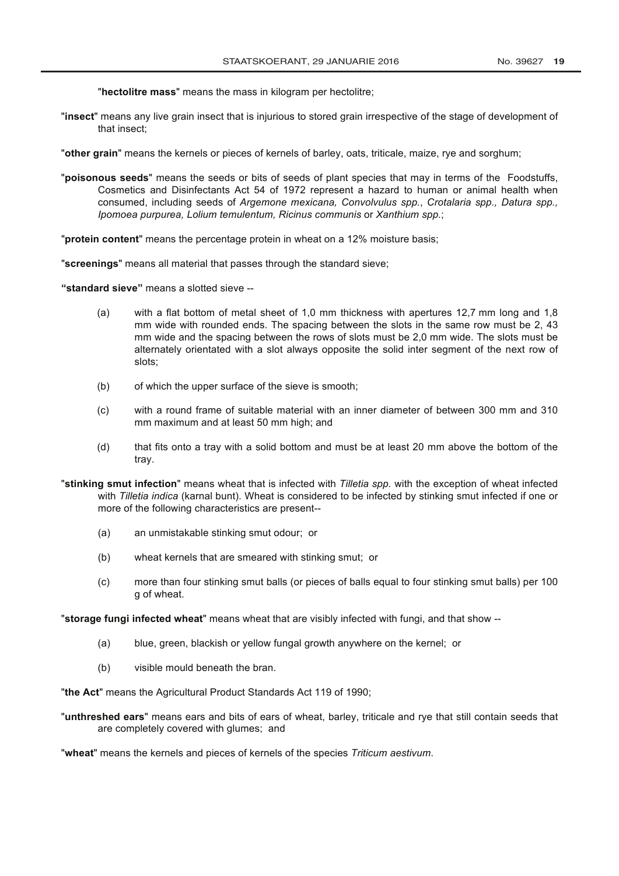"hectolitre mass" means the mass in kilogram per hectolitre;

"insect" means any live grain insect that is injurious to stored grain irrespective of the stage of development of that insect:

"other grain" means the kernels or pieces of kernels of barley, oats, triticale, maize, rye and sorghum;

"poisonous seeds" means the seeds or bits of seeds of plant species that may in terms of the Foodstuffs. Cosmetics and Disinfectants Act 54 of 1972 represent a hazard to human or animal health when consumed, including seeds of Argemone mexicana, Convolvulus spp., Crotalaria spp., Datura spp., Ipomoea purpurea, Lolium temulentum, Ricinus communis or Xanthium spp.;

"protein content" means the percentage protein in wheat on a 12% moisture basis;

"screenings" means all material that passes through the standard sieve:

"standard sieve" means a slotted sieve --

- $(a)$ with a flat bottom of metal sheet of 1.0 mm thickness with apertures 12.7 mm long and 1.8 mm wide with rounded ends. The spacing between the slots in the same row must be 2, 43 mm wide and the spacing between the rows of slots must be 2,0 mm wide. The slots must be alternately orientated with a slot always opposite the solid inter segment of the next row of slots:
- $(b)$ of which the upper surface of the sieve is smooth:
- with a round frame of suitable material with an inner diameter of between 300 mm and 310  $(c)$ mm maximum and at least 50 mm high; and
- $(d)$ that fits onto a tray with a solid bottom and must be at least 20 mm above the bottom of the tray.
- "stinking smut infection" means wheat that is infected with Tilletia spp. with the exception of wheat infected with Tilletia indica (karnal bunt). Wheat is considered to be infected by stinking smut infected if one or more of the following characteristics are present--
	- $(a)$ an unmistakable stinking smut odour; or
	- $(b)$ wheat kernels that are smeared with stinking smut; or
	- more than four stinking smut balls (or pieces of balls equal to four stinking smut balls) per 100  $(c)$ g of wheat.

"storage fungi infected wheat" means wheat that are visibly infected with fungi, and that show --

- $(a)$ blue, green, blackish or yellow fungal growth anywhere on the kernel; or
- visible mould beneath the bran.  $(b)$

"the Act" means the Agricultural Product Standards Act 119 of 1990;

"unthreshed ears" means ears and bits of ears of wheat, barley, triticale and rye that still contain seeds that are completely covered with glumes; and

"wheat" means the kernels and pieces of kernels of the species Triticum aestivum.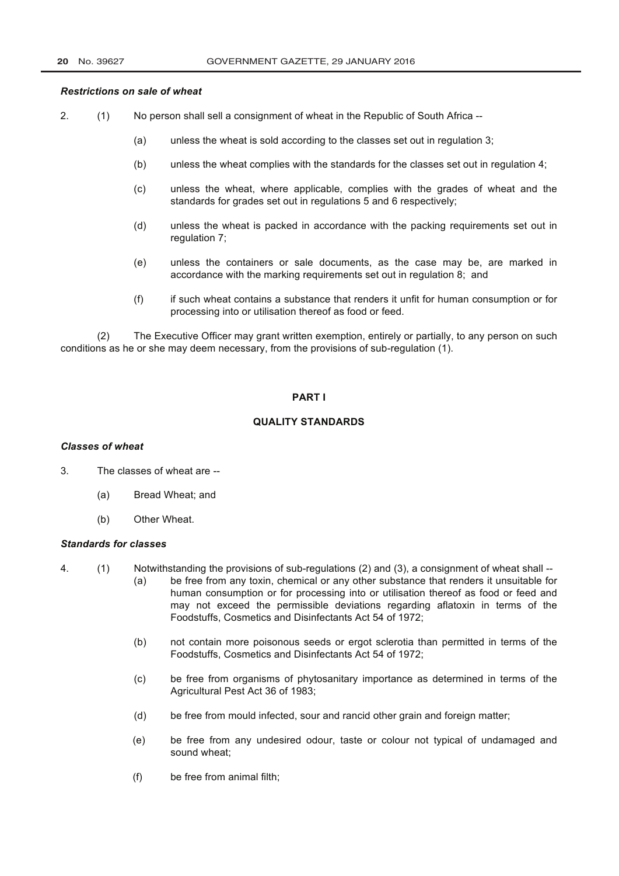## **Restrictions on sale of wheat**

- $2.$  $(1)$ No person shall sell a consignment of wheat in the Republic of South Africa --
	- $(a)$ unless the wheat is sold according to the classes set out in regulation 3;
	- unless the wheat complies with the standards for the classes set out in regulation 4;  $(b)$
	- unless the wheat, where applicable, complies with the grades of wheat and the  $(c)$ standards for grades set out in regulations 5 and 6 respectively;
	- $(d)$ unless the wheat is packed in accordance with the packing requirements set out in regulation 7;
	- unless the containers or sale documents, as the case may be, are marked in  $(e)$ accordance with the marking requirements set out in regulation 8; and
	- if such wheat contains a substance that renders it unfit for human consumption or for  $(f)$ processing into or utilisation thereof as food or feed.

The Executive Officer may grant written exemption, entirely or partially, to any person on such  $(2)$ conditions as he or she may deem necessary, from the provisions of sub-regulation (1).

## **PARTI**

# **QUALITY STANDARDS**

#### **Classes of wheat**

- $3<sub>1</sub>$ The classes of wheat are --
	- $(a)$ Bread Wheat; and
	- Other Wheat.  $(b)$

# **Standards for classes**

- Notwithstanding the provisions of sub-regulations (2) and (3), a consignment of wheat shall -- $\overline{4}$ .  $(1)$ 
	- be free from any toxin, chemical or any other substance that renders it unsuitable for  $(a)$ human consumption or for processing into or utilisation thereof as food or feed and may not exceed the permissible deviations regarding aflatoxin in terms of the Foodstuffs, Cosmetics and Disinfectants Act 54 of 1972;
	- not contain more poisonous seeds or ergot sclerotia than permitted in terms of the  $(b)$ Foodstuffs. Cosmetics and Disinfectants Act 54 of 1972:
	- be free from organisms of phytosanitary importance as determined in terms of the  $(c)$ Agricultural Pest Act 36 of 1983:
	- be free from mould infected, sour and rancid other grain and foreign matter;  $(d)$
	- be free from any undesired odour, taste or colour not typical of undamaged and  $(e)$ sound wheat:
	- $(f)$ be free from animal filth: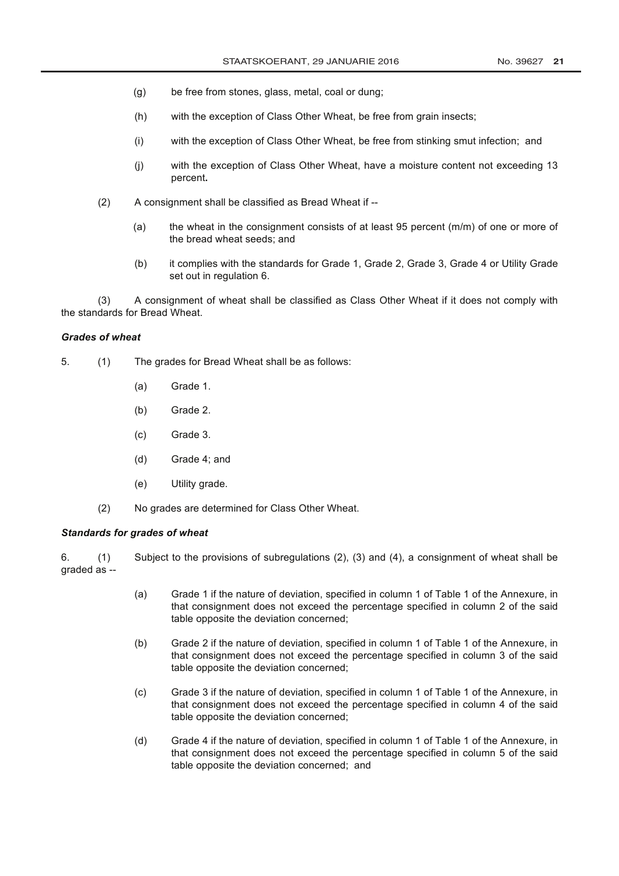- $(g)$ be free from stones, glass, metal, coal or dung;
- $(h)$ with the exception of Class Other Wheat, be free from grain insects;
- with the exception of Class Other Wheat, be free from stinking smut infection; and  $(i)$
- with the exception of Class Other Wheat, have a moisture content not exceeding 13  $(i)$ percent.
- $(2)$ A consignment shall be classified as Bread Wheat if -
	- the wheat in the consignment consists of at least 95 percent (m/m) of one or more of  $(a)$ the bread wheat seeds; and
	- it complies with the standards for Grade 1, Grade 2, Grade 3, Grade 4 or Utility Grade  $(b)$ set out in regulation 6.

A consignment of wheat shall be classified as Class Other Wheat if it does not comply with  $(3)$ the standards for Bread Wheat.

## **Grades of wheat**

- $5<sub>1</sub>$  $(1)$ The grades for Bread Wheat shall be as follows:
	- $(a)$ Grade 1.
	- Grade 2.  $(b)$
	- $(c)$ Grade 3.
	- $(d)$ Grade 4; and
	- $(e)$ Utility grade.
	- $(2)$ No grades are determined for Class Other Wheat.

## **Standards for grades of wheat**

Subject to the provisions of subregulations (2), (3) and (4), a consignment of wheat shall be 6.  $(1)$ qraded as --

- Grade 1 if the nature of deviation, specified in column 1 of Table 1 of the Annexure, in  $(a)$ that consignment does not exceed the percentage specified in column 2 of the said table opposite the deviation concerned;
- $(b)$ Grade 2 if the nature of deviation, specified in column 1 of Table 1 of the Annexure, in that consignment does not exceed the percentage specified in column 3 of the said table opposite the deviation concerned:
- Grade 3 if the nature of deviation, specified in column 1 of Table 1 of the Annexure, in  $(c)$ that consignment does not exceed the percentage specified in column 4 of the said table opposite the deviation concerned;
- $(d)$ Grade 4 if the nature of deviation, specified in column 1 of Table 1 of the Annexure, in that consignment does not exceed the percentage specified in column 5 of the said table opposite the deviation concerned; and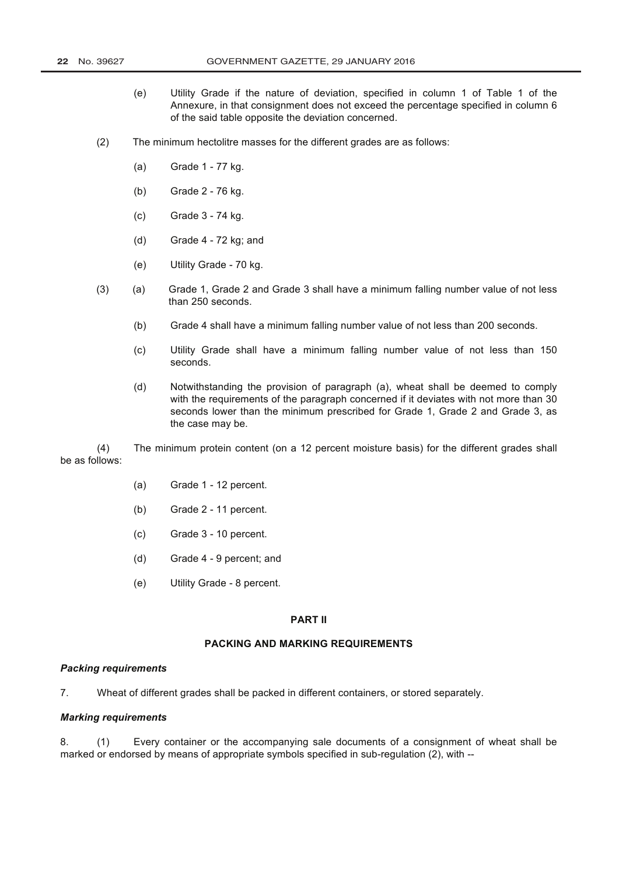- $(e)$ Utility Grade if the nature of deviation, specified in column 1 of Table 1 of the Annexure, in that consignment does not exceed the percentage specified in column 6 of the said table opposite the deviation concerned.
- $(2)$ The minimum hectolitre masses for the different grades are as follows:
	- $(a)$ Grade 1 - 77 kg.
	- $(b)$ Grade 2 - 76 kg.
	- $(c)$ Grade 3 - 74 kg.
	- $(d)$ Grade 4 - 72 kg; and
	- Utility Grade 70 kg.  $(e)$
- $(3)$ Grade 1, Grade 2 and Grade 3 shall have a minimum falling number value of not less  $(a)$ than 250 seconds.
	- Grade 4 shall have a minimum falling number value of not less than 200 seconds.  $(b)$
	- $(c)$ Utility Grade shall have a minimum falling number value of not less than 150 seconds.
	- Notwithstanding the provision of paragraph (a), wheat shall be deemed to comply  $(d)$ with the requirements of the paragraph concerned if it deviates with not more than 30 seconds lower than the minimum prescribed for Grade 1, Grade 2 and Grade 3, as the case may be.

 $(4)$ The minimum protein content (on a 12 percent moisture basis) for the different grades shall be as follows:

- $(a)$ Grade 1 - 12 percent.
- $(b)$ Grade 2 - 11 percent.
- $(c)$ Grade 3 - 10 percent.
- Grade 4 9 percent; and  $(d)$
- Utility Grade 8 percent.  $(e)$

### **PART II**

## **PACKING AND MARKING REQUIREMENTS**

### **Packing requirements**

 $\overline{7}$ Wheat of different grades shall be packed in different containers, or stored separately.

#### **Marking requirements**

Every container or the accompanying sale documents of a consignment of wheat shall be 8  $(1)$ marked or endorsed by means of appropriate symbols specified in sub-regulation (2), with --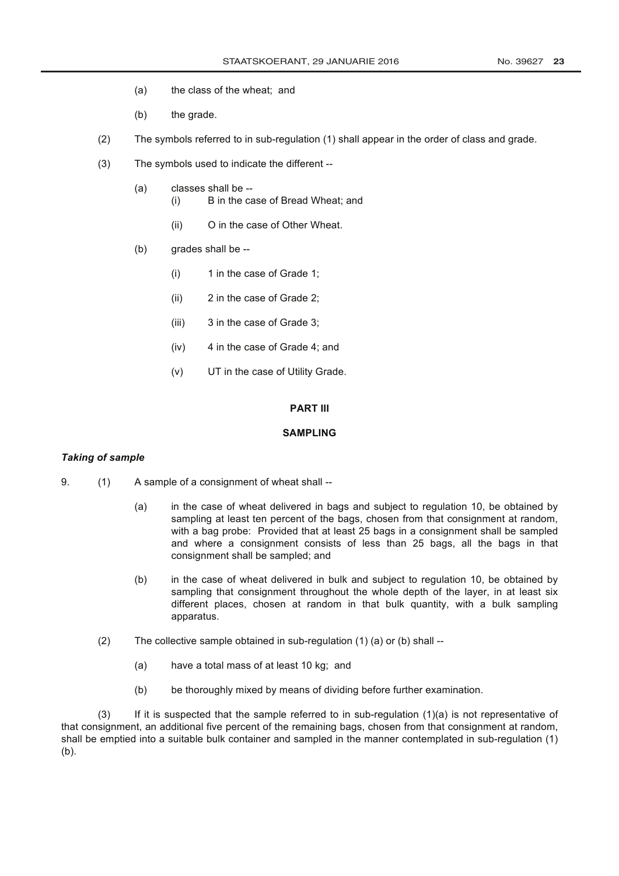- the class of the wheat; and  $(a)$
- $(b)$ the grade.
- $(2)$ The symbols referred to in sub-regulation (1) shall appear in the order of class and grade.
- $(3)$ The symbols used to indicate the different --
	- $(a)$ classes shall be --B in the case of Bread Wheat; and  $(i)$ 
		- $(ii)$ O in the case of Other Wheat.
	- $(b)$ grades shall be --
		- 1 in the case of Grade 1;  $(i)$
		- 2 in the case of Grade 2;  $(ii)$
		- $(iii)$ 3 in the case of Grade 3:
		- $(iv)$ 4 in the case of Grade 4; and
		- $(v)$ UT in the case of Utility Grade.

### **PART III**

### **SAMPLING**

### **Taking of sample**

- $9<sub>1</sub>$  $(1)$ A sample of a consignment of wheat shall -
	- in the case of wheat delivered in bags and subject to regulation 10, be obtained by  $(a)$ sampling at least ten percent of the bags, chosen from that consignment at random, with a bag probe: Provided that at least 25 bags in a consignment shall be sampled and where a consignment consists of less than 25 bags, all the bags in that consignment shall be sampled; and
	- in the case of wheat delivered in bulk and subject to regulation 10, be obtained by  $(b)$ sampling that consignment throughout the whole depth of the layer, in at least six different places, chosen at random in that bulk quantity, with a bulk sampling apparatus.
	- $(2)$ The collective sample obtained in sub-regulation  $(1)$   $(a)$  or  $(b)$  shall --
		- $(a)$ have a total mass of at least 10 kg; and
		- be thoroughly mixed by means of dividing before further examination.  $(b)$

 $(3)$ If it is suspected that the sample referred to in sub-regulation (1)(a) is not representative of that consignment, an additional five percent of the remaining bags, chosen from that consignment at random, shall be emptied into a suitable bulk container and sampled in the manner contemplated in sub-regulation (1)  $(b)$ .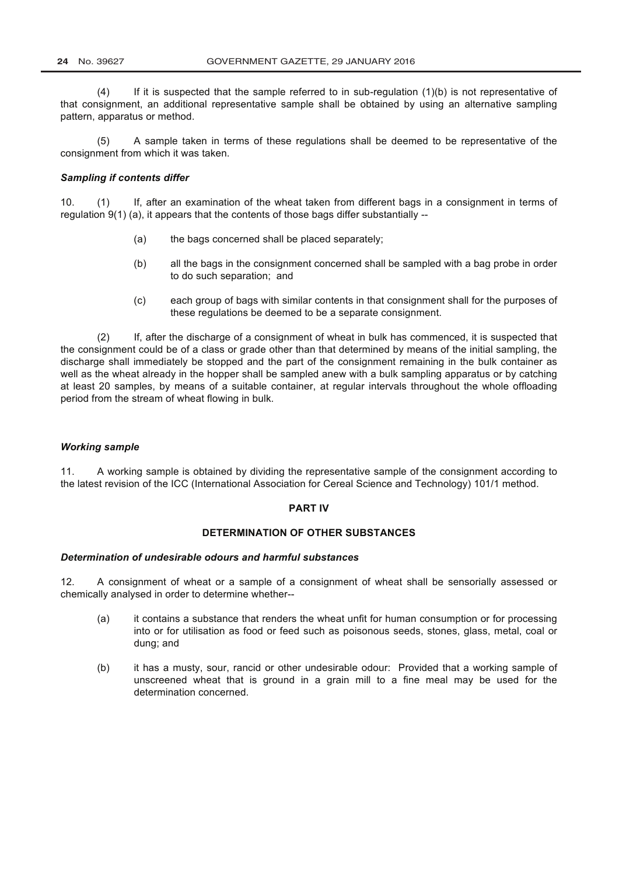If it is suspected that the sample referred to in sub-regulation  $(1)(b)$  is not representative of  $(4)$ that consignment, an additional representative sample shall be obtained by using an alternative sampling pattern, apparatus or method.

A sample taken in terms of these regulations shall be deemed to be representative of the  $(5)$ consignment from which it was taken.

## **Sampling if contents differ**

 $10<sup>1</sup>$  $(1)$ If, after an examination of the wheat taken from different bags in a consignment in terms of regulation 9(1) (a), it appears that the contents of those bags differ substantially --

- $(a)$ the bags concerned shall be placed separately;
- all the bags in the consignment concerned shall be sampled with a bag probe in order  $(b)$ to do such separation; and
- each group of bags with similar contents in that consignment shall for the purposes of  $(c)$ these regulations be deemed to be a separate consignment.

If, after the discharge of a consignment of wheat in bulk has commenced, it is suspected that  $(2)$ the consignment could be of a class or grade other than that determined by means of the initial sampling, the discharge shall immediately be stopped and the part of the consignment remaining in the bulk container as well as the wheat already in the hopper shall be sampled anew with a bulk sampling apparatus or by catching at least 20 samples, by means of a suitable container, at regular intervals throughout the whole offloading period from the stream of wheat flowing in bulk.

### **Working sample**

 $11.$ A working sample is obtained by dividing the representative sample of the consignment according to the latest revision of the ICC (International Association for Cereal Science and Technology) 101/1 method.

### **PART IV**

# DETERMINATION OF OTHER SUBSTANCES

### Determination of undesirable odours and harmful substances

A consignment of wheat or a sample of a consignment of wheat shall be sensorially assessed or  $12<sub>1</sub>$ chemically analysed in order to determine whether--

- it contains a substance that renders the wheat unfit for human consumption or for processing  $(a)$ into or for utilisation as food or feed such as poisonous seeds, stones, glass, metal, coal or dung; and
- it has a musty, sour, rancid or other undesirable odour: Provided that a working sample of  $(b)$ unscreened wheat that is ground in a grain mill to a fine meal may be used for the determination concerned.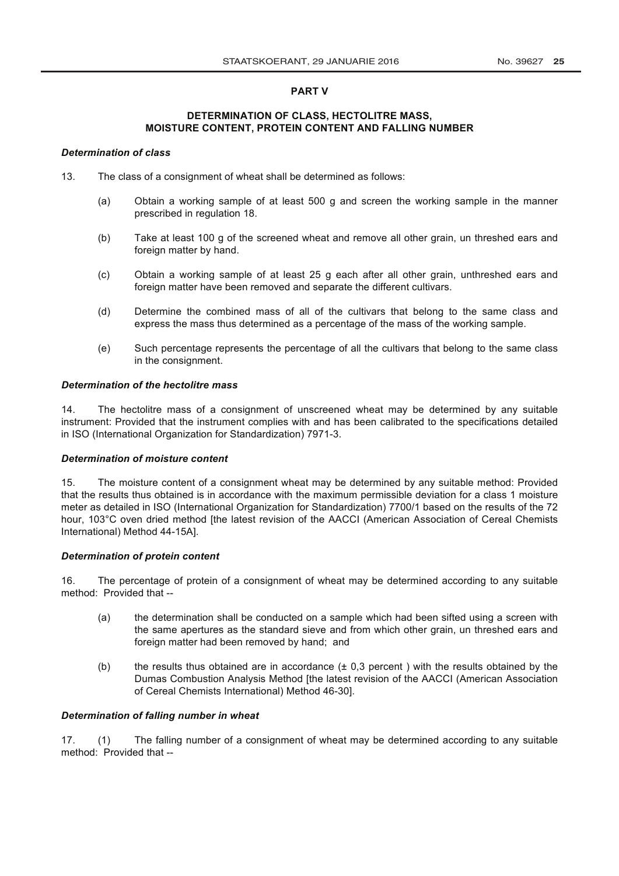## **PART V**

## DETERMINATION OF CLASS, HECTOLITRE MASS, **MOISTURE CONTENT, PROTEIN CONTENT AND FALLING NUMBER**

## **Determination of class**

- $13<sub>1</sub>$ The class of a consignment of wheat shall be determined as follows:
	- Obtain a working sample of at least 500 g and screen the working sample in the manner  $(a)$ prescribed in regulation 18.
	- $(b)$ Take at least 100 g of the screened wheat and remove all other grain, un threshed ears and foreign matter by hand.
	- Obtain a working sample of at least 25 g each after all other grain, unthreshed ears and  $(c)$ foreign matter have been removed and separate the different cultivars.
	- $(d)$ Determine the combined mass of all of the cultivars that belong to the same class and express the mass thus determined as a percentage of the mass of the working sample.
	- $(e)$ Such percentage represents the percentage of all the cultivars that belong to the same class in the consignment.

### Determination of the hectolitre mass

 $14$ The hectolitre mass of a consignment of unscreened wheat may be determined by any suitable instrument: Provided that the instrument complies with and has been calibrated to the specifications detailed in ISO (International Organization for Standardization) 7971-3.

### **Determination of moisture content**

The moisture content of a consignment wheat may be determined by any suitable method: Provided  $15<sub>1</sub>$ that the results thus obtained is in accordance with the maximum permissible deviation for a class 1 moisture meter as detailed in ISO (International Organization for Standardization) 7700/1 based on the results of the 72 hour. 103°C oven dried method Ithe latest revision of the AACCI (American Association of Cereal Chemists International) Method 44-15Al.

### **Determination of protein content**

The percentage of protein of a consignment of wheat may be determined according to any suitable 16 method: Provided that --

- $(a)$ the determination shall be conducted on a sample which had been sifted using a screen with the same apertures as the standard sieve and from which other grain, un threshed ears and foreign matter had been removed by hand; and
- $(b)$ the results thus obtained are in accordance  $(± 0,3$  percent) with the results obtained by the Dumas Combustion Analysis Method [the latest revision of the AACCI (American Association of Cereal Chemists International) Method 46-301.

### Determination of falling number in wheat

The falling number of a consignment of wheat may be determined according to any suitable  $17.$  $(1)$ method: Provided that --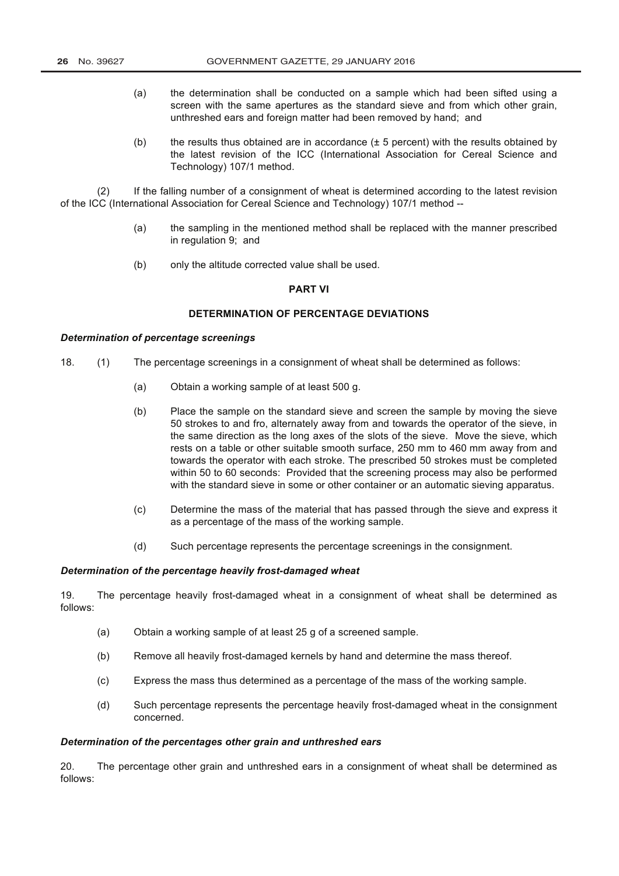- $(a)$ the determination shall be conducted on a sample which had been sifted using a screen with the same apertures as the standard sieve and from which other grain. unthreshed ears and foreign matter had been removed by hand; and
- the results thus obtained are in accordance  $(± 5$  percent) with the results obtained by  $(b)$ the latest revision of the ICC (International Association for Cereal Science and Technology) 107/1 method.

If the falling number of a consignment of wheat is determined according to the latest revision  $(2)$ of the ICC (International Association for Cereal Science and Technology) 107/1 method --

- the sampling in the mentioned method shall be replaced with the manner prescribed  $(a)$ in regulation 9; and
- only the altitude corrected value shall be used.  $(b)$

## **PART VI**

# DETERMINATION OF PERCENTAGE DEVIATIONS

## **Determination of percentage screenings**

- 18.  $(1)$ The percentage screenings in a consignment of wheat shall be determined as follows:
	- $(a)$ Obtain a working sample of at least 500 g.
	- $(b)$ Place the sample on the standard sieve and screen the sample by moving the sieve 50 strokes to and fro, alternately away from and towards the operator of the sieve, in the same direction as the long axes of the slots of the sieve. Move the sieve, which rests on a table or other suitable smooth surface, 250 mm to 460 mm away from and towards the operator with each stroke. The prescribed 50 strokes must be completed within 50 to 60 seconds: Provided that the screening process may also be performed with the standard sieve in some or other container or an automatic sieving apparatus.
	- $(c)$ Determine the mass of the material that has passed through the sieve and express it as a percentage of the mass of the working sample.
	- Such percentage represents the percentage screenings in the consignment.  $(d)$

### Determination of the percentage heavily frost-damaged wheat

19. The percentage heavily frost-damaged wheat in a consignment of wheat shall be determined as follows:

- Obtain a working sample of at least 25 g of a screened sample.  $(a)$
- Remove all heavily frost-damaged kernels by hand and determine the mass thereof.  $(b)$
- Express the mass thus determined as a percentage of the mass of the working sample.  $(c)$
- $(d)$ Such percentage represents the percentage heavily frost-damaged wheat in the consignment concerned.

#### Determination of the percentages other grain and unthreshed ears

 $20.$ The percentage other grain and unthreshed ears in a consignment of wheat shall be determined as follows: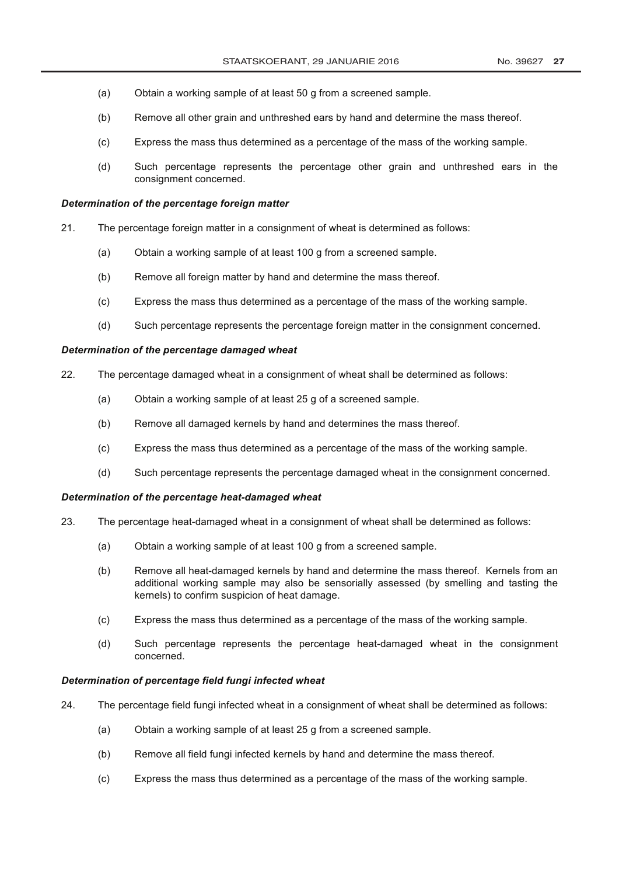- $(a)$ Obtain a working sample of at least 50 g from a screened sample.
- Remove all other grain and unthreshed ears by hand and determine the mass thereof.  $(b)$
- Express the mass thus determined as a percentage of the mass of the working sample.  $(c)$
- $(d)$ Such percentage represents the percentage other grain and unthreshed ears in the consignment concerned.

### Determination of the percentage foreign matter

- $21.$ The percentage foreign matter in a consignment of wheat is determined as follows:
	- Obtain a working sample of at least 100 g from a screened sample.  $(a)$
	- $(b)$ Remove all foreign matter by hand and determine the mass thereof.
	- $(c)$ Express the mass thus determined as a percentage of the mass of the working sample.
	- $(d)$ Such percentage represents the percentage foreign matter in the consignment concerned.

## Determination of the percentage damaged wheat

- 22 The percentage damaged wheat in a consignment of wheat shall be determined as follows:
	- $(a)$ Obtain a working sample of at least 25 g of a screened sample.
	- Remove all damaged kernels by hand and determines the mass thereof.  $(b)$
	- $(c)$ Express the mass thus determined as a percentage of the mass of the working sample.
	- $(d)$ Such percentage represents the percentage damaged wheat in the consignment concerned.

## Determination of the percentage heat-damaged wheat

- 23. The percentage heat-damaged wheat in a consignment of wheat shall be determined as follows:
	- Obtain a working sample of at least 100 g from a screened sample.  $(a)$
	- $(b)$ Remove all heat-damaged kernels by hand and determine the mass thereof. Kernels from an additional working sample may also be sensorially assessed (by smelling and tasting the kernels) to confirm suspicion of heat damage.
	- Express the mass thus determined as a percentage of the mass of the working sample.  $(c)$
	- $(d)$ Such percentage represents the percentage heat-damaged wheat in the consignment concerned.

### Determination of percentage field fungi infected wheat

- 24. The percentage field fungi infected wheat in a consignment of wheat shall be determined as follows:
	- $(a)$ Obtain a working sample of at least 25 g from a screened sample.
	- Remove all field fungi infected kernels by hand and determine the mass thereof.  $(b)$
	- Express the mass thus determined as a percentage of the mass of the working sample.  $(c)$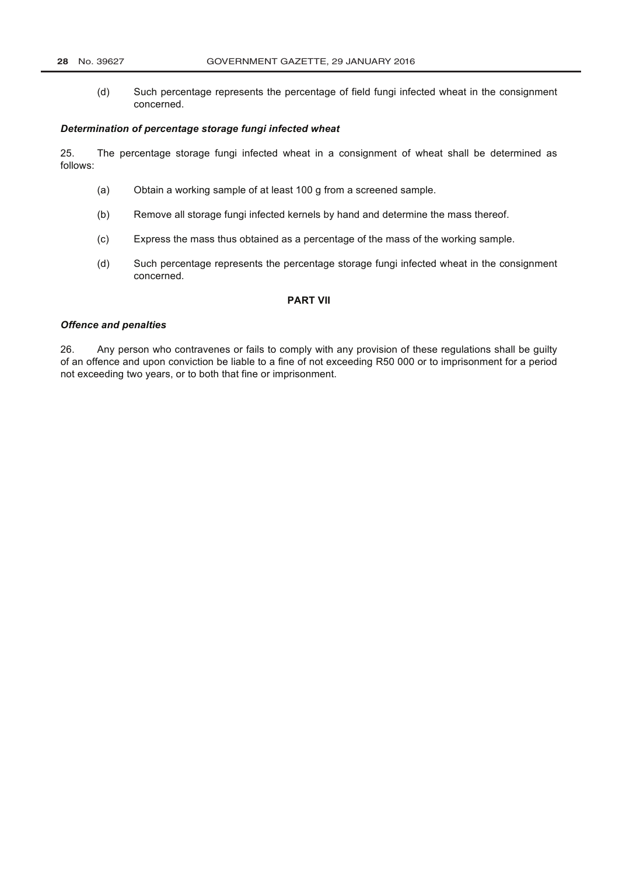## 28 No. 39627

Such percentage represents the percentage of field fungi infected wheat in the consignment  $(d)$ concerned.

### Determination of percentage storage fungi infected wheat

25. The percentage storage fungi infected wheat in a consignment of wheat shall be determined as follows:

- $(a)$ Obtain a working sample of at least 100 g from a screened sample.
- $(b)$ Remove all storage fungi infected kernels by hand and determine the mass thereof.
- Express the mass thus obtained as a percentage of the mass of the working sample.  $(c)$
- $(d)$ Such percentage represents the percentage storage fungi infected wheat in the consignment concerned.

### **PART VII**

## **Offence and penalties**

Any person who contravenes or fails to comply with any provision of these regulations shall be guilty 26. of an offence and upon conviction be liable to a fine of not exceeding R50 000 or to imprisonment for a period not exceeding two years, or to both that fine or imprisonment.